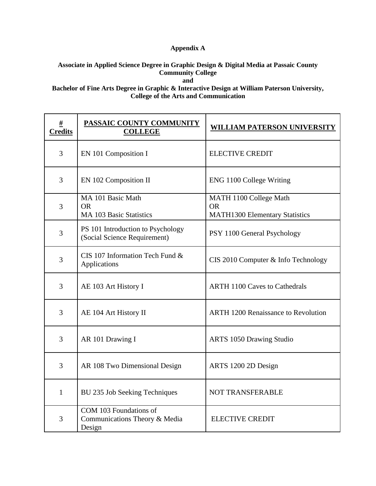## **Appendix A**

## **Associate in Applied Science Degree in Graphic Design & Digital Media at Passaic County Community College**

**and**

## **Bachelor of Fine Arts Degree in Graphic & Interactive Design at William Paterson University, College of the Arts and Communication**

| #<br><b>Credits</b> | PASSAIC COUNTY COMMUNITY<br><b>COLLEGE</b>                        | <b>WILLIAM PATERSON UNIVERSITY</b>                                           |
|---------------------|-------------------------------------------------------------------|------------------------------------------------------------------------------|
| 3                   | EN 101 Composition I                                              | <b>ELECTIVE CREDIT</b>                                                       |
| 3                   | EN 102 Composition II                                             | ENG 1100 College Writing                                                     |
| 3                   | MA 101 Basic Math<br><b>OR</b><br><b>MA 103 Basic Statistics</b>  | MATH 1100 College Math<br><b>OR</b><br><b>MATH1300 Elementary Statistics</b> |
| 3                   | PS 101 Introduction to Psychology<br>(Social Science Requirement) | PSY 1100 General Psychology                                                  |
| 3                   | CIS 107 Information Tech Fund &<br>Applications                   | CIS 2010 Computer & Info Technology                                          |
| 3                   | AE 103 Art History I                                              | <b>ARTH 1100 Caves to Cathedrals</b>                                         |
| 3                   | AE 104 Art History II                                             | <b>ARTH 1200 Renaissance to Revolution</b>                                   |
| 3                   | AR 101 Drawing I                                                  | <b>ARTS 1050 Drawing Studio</b>                                              |
| 3                   | AR 108 Two Dimensional Design                                     | ARTS 1200 2D Design                                                          |
| $\mathbf{1}$        | BU 235 Job Seeking Techniques                                     | NOT TRANSFERABLE                                                             |
| 3                   | COM 103 Foundations of<br>Communications Theory & Media<br>Design | <b>ELECTIVE CREDIT</b>                                                       |